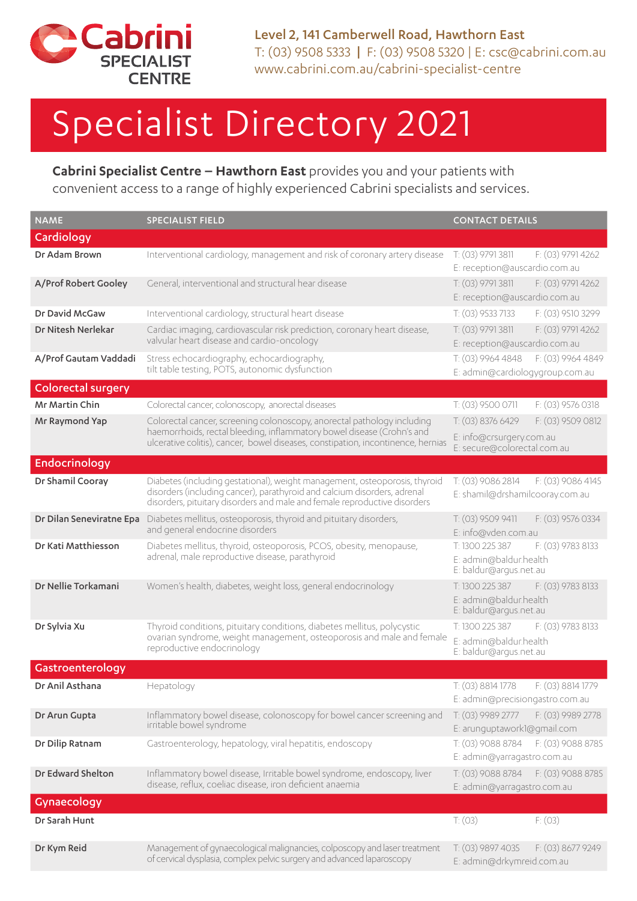

Level 2, 141 Camberwell Road, Hawthorn East T: (03) 9508 5333 | F: (03) 9508 5320 | E: csc@cabrini.com.au www.cabrini.com.au/cabrini-specialist-centre

## Specialist Directory 2021

**Cabrini Specialist Centre – Hawthorn East** provides you and your patients with convenient access to a range of highly experienced Cabrini specialists and services.

| <b>NAME</b>               | <b>SPECIALIST FIELD</b>                                                                                                                                                                                                               | <b>CONTACT DETAILS</b>                                                                   |
|---------------------------|---------------------------------------------------------------------------------------------------------------------------------------------------------------------------------------------------------------------------------------|------------------------------------------------------------------------------------------|
| Cardiology                |                                                                                                                                                                                                                                       |                                                                                          |
| Dr Adam Brown             | Interventional cardiology, management and risk of coronary artery disease                                                                                                                                                             | T: (03) 9791 3811<br>F: (03) 9791 4262<br>E: reception@auscardio.com.au                  |
| A/Prof Robert Gooley      | General, interventional and structural hear disease                                                                                                                                                                                   | F: (03) 9791 4262<br>$T: (03)$ 9791 3811<br>E: reception@auscardio.com.au                |
| Dr David McGaw            | Interventional cardiology, structural heart disease                                                                                                                                                                                   | F: (03) 9510 3299<br>T: (03) 9533 7133                                                   |
| Dr Nitesh Nerlekar        | Cardiac imaging, cardiovascular risk prediction, coronary heart disease,<br>valvular heart disease and cardio-oncology                                                                                                                | T: (03) 9791 3811<br>F: (03) 9791 4262<br>E: reception@auscardio.com.au                  |
| A/Prof Gautam Vaddadi     | Stress echocardiography, echocardiography,<br>tilt table testing, POTS, autonomic dysfunction                                                                                                                                         | T: (03) 9964 4848<br>F: (03) 9964 4849<br>E: admin@cardiologygroup.com.au                |
| <b>Colorectal surgery</b> |                                                                                                                                                                                                                                       |                                                                                          |
| Mr Martin Chin            | Colorectal cancer, colonoscopy, anorectal diseases                                                                                                                                                                                    | T: (03) 9500 0711<br>F: (03) 9576 0318                                                   |
| Mr Raymond Yap            | Colorectal cancer, screening colonoscopy, anorectal pathology including<br>haemorrhoids, rectal bleeding, inflammatory bowel disease (Crohn's and<br>ulcerative colitis), cancer, bowel diseases, constipation, incontinence, hernias | T: (03) 8376 6429<br>F: (03) 9509 0812                                                   |
|                           |                                                                                                                                                                                                                                       | E: info@crsurgery.com.au<br>E: secure@colorectal.com.au                                  |
| <b>Endocrinology</b>      |                                                                                                                                                                                                                                       |                                                                                          |
| Dr Shamil Cooray          | Diabetes (including gestational), weight management, osteoporosis, thyroid<br>disorders (including cancer), parathyroid and calcium disorders, adrenal<br>disorders, pituitary disorders and male and female reproductive disorders   | T: (03) 9086 2814<br>F: (03) 9086 4145<br>E: shamil@drshamilcooray.com.au                |
| Dr Dilan Seneviratne Epa  | Diabetes mellitus, osteoporosis, thyroid and pituitary disorders,<br>and general endocrine disorders                                                                                                                                  | T: (03) 9509 9411<br>F: (03) 9576 0334<br>E: info@vden.com.au                            |
| Dr Kati Matthiesson       | Diabetes mellitus, thyroid, osteoporosis, PCOS, obesity, menopause,<br>adrenal, male reproductive disease, parathyroid                                                                                                                | T: 1300 225 387<br>F: (03) 9783 8133<br>E: admin@baldur.health<br>E: baldur@argus.net.au |
| Dr Nellie Torkamani       | Women's health, diabetes, weight loss, general endocrinology                                                                                                                                                                          | T: 1300 225 387<br>F: (03) 9783 8133<br>E: admin@baldur.health<br>E: baldur@argus.net.au |
| Dr Sylvia Xu              | Thyroid conditions, pituitary conditions, diabetes mellitus, polycystic<br>ovarian syndrome, weight management, osteoporosis and male and female<br>reproductive endocrinology                                                        | F: (03) 9783 8133<br>T: 1300 225 387<br>E: admin@baldur.health<br>E: baldur@argus.net.au |
| Gastroenterology          |                                                                                                                                                                                                                                       |                                                                                          |
| Dr Anil Asthana           | Hepatology                                                                                                                                                                                                                            | T: (03) 8814 1778 F: (03) 8814 1779<br>E: admin@precisiongastro.com.au                   |
| Dr Arun Gupta             | Inflammatory bowel disease, colonoscopy for bowel cancer screening and<br>irritable bowel syndrome                                                                                                                                    | T: (03) 9989 2777<br>F: (03) 9989 2778<br>E: arunguptawork1@gmail.com                    |
| Dr Dilip Ratnam           | Gastroenterology, hepatology, viral hepatitis, endoscopy                                                                                                                                                                              | T: (03) 9088 8784<br>F: (03) 9088 8785<br>E: admin@yarragastro.com.au                    |
| Dr Edward Shelton         | Inflammatory bowel disease, Irritable bowel syndrome, endoscopy, liver<br>disease, reflux, coeliac disease, iron deficient anaemia                                                                                                    | T: (03) 9088 8784<br>F: (03) 9088 8785<br>E: admin@yarragastro.com.au                    |
| Gynaecology               |                                                                                                                                                                                                                                       |                                                                                          |
| Dr Sarah Hunt             |                                                                                                                                                                                                                                       | T: (03)<br>F: (03)                                                                       |
| Dr Kym Reid               | Management of gynaecological malignancies, colposcopy and laser treatment<br>of cervical dysplasia, complex pelvic surgery and advanced laparoscopy                                                                                   | T: (03) 9897 4035<br>F: (03) 8677 9249<br>E: admin@drkymreid.com.au                      |